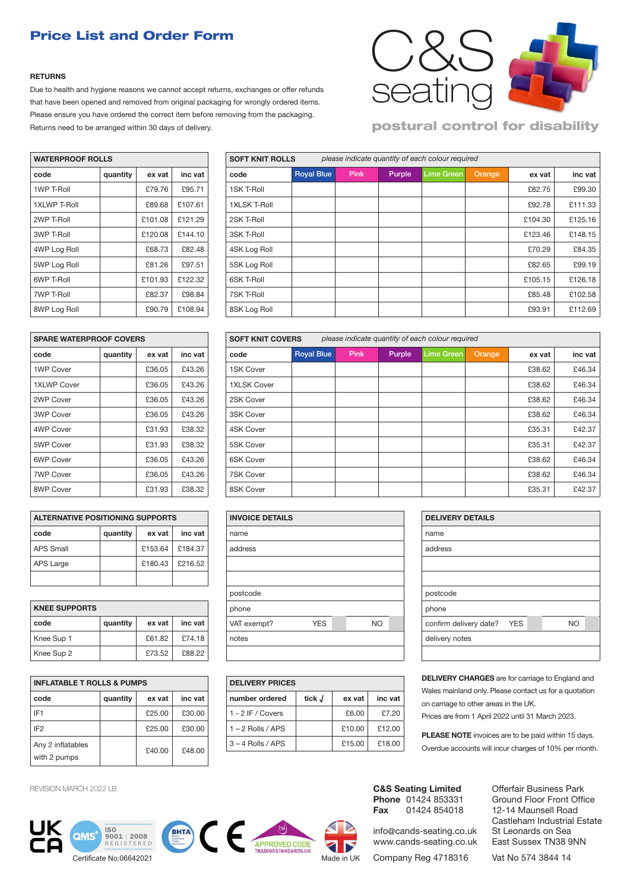## Price List and Order Form

#### **RETURNS**

Due to health and hygiene reasons we cannot accept returns, exchanges or offer refunds that have been opened and removed from original packaging for wrongly ordered items. Please ensure you have ordered the correct item before removing from the packaging. Returns need to be arranged within 30 days of delivery.



### postural control for disability

| <b>WATERPROOF ROLLS</b> | <b>SOFT KNIT ROLLS</b>        |         |         |                     |  |
|-------------------------|-------------------------------|---------|---------|---------------------|--|
| code                    | inc vat<br>quantity<br>ex vat |         | code    |                     |  |
| 1WP T-Roll              |                               | £79.76  | £95.71  | 1SK T-Roll          |  |
| <b>1XLWP T-Roll</b>     |                               | £89.68  | £107.61 | <b>1XLSK T-Roll</b> |  |
| 2WP T-Roll              |                               | £101.08 | £121.29 | 2SK T-Roll          |  |
| 3WP T-Roll              |                               | £120.08 | £144.10 | 3SK T-Roll          |  |
| 4WP Log Roll            |                               | £68.73  | £82.48  | 4SK Log Roll        |  |
| 5WP Log Roll            |                               | £81.26  | £97.51  | 5SK Log Roll        |  |
| 6WP T-Roll              |                               | £101.93 | £122.32 | 6SK T-Roll          |  |
| 7WP T-Roll              |                               | £82.37  | £98.84  | 7SK T-Roll          |  |
| 8WP Log Roll            |                               | £90.79  | £108.94 | 8SK Log Roll        |  |

| <b>WATERPROOF ROLLS</b> |          |         |         | <b>SOFT KNIT ROLLS</b><br>please indicate quantity of each colour required |                   |             |        |                   |        |         |         |
|-------------------------|----------|---------|---------|----------------------------------------------------------------------------|-------------------|-------------|--------|-------------------|--------|---------|---------|
| code                    | quantity | ex vat  | inc vat | code                                                                       | <b>Royal Blue</b> | <b>Pink</b> | Purple | <b>Lime Green</b> | Orange | ex vat  | inc vat |
| 1WP T-Roll              |          | £79.76  | £95.71  | 1SK T-Roll                                                                 |                   |             |        |                   |        | £82.75  | £99.30  |
| <b>1XLWP T-Roll</b>     |          | £89.68  | £107.61 | <b>1XLSK T-Roll</b>                                                        |                   |             |        |                   |        | £92.78  | £111.33 |
| 2WP T-Roll              |          | £101.08 | £121.29 | 2SK T-Roll                                                                 |                   |             |        |                   |        | £104.30 | £125.16 |
| 3WP T-Roll              |          | £120.08 | £144.10 | 3SK T-Roll                                                                 |                   |             |        |                   |        | £123.46 | £148.15 |
| 4WP Log Roll            |          | £68.73  | £82.48  | 4SK Log Roll                                                               |                   |             |        |                   |        | £70.29  | £84.35  |
| 5WP Log Roll            |          | £81.26  | £97.51  | 5SK Log Roll                                                               |                   |             |        |                   |        | £82.65  | £99.19  |
| 6WP T-Roll              |          | £101.93 | £122.32 | 6SK T-Roll                                                                 |                   |             |        |                   |        | £105.15 | £126.18 |
| <b>7WP T-Roll</b>       |          | £82.37  | £98.84  | 7SK T-Roll                                                                 |                   |             |        |                   |        | £85.48  | £102.58 |
| 8WP Log Roll            |          | £90.79  | £108.94 | 8SK Log Roll                                                               |                   |             |        |                   |        | £93.91  | £112.69 |

| <b>SPARE WATERPROOF COVERS</b> |          |        |         |  |  |  |  |  |  |  |
|--------------------------------|----------|--------|---------|--|--|--|--|--|--|--|
| code                           | quantity | ex vat | inc vat |  |  |  |  |  |  |  |
| 1WP Cover                      |          | £36.05 | £43.26  |  |  |  |  |  |  |  |
| 1XLWP Cover                    |          | £36.05 | £43.26  |  |  |  |  |  |  |  |
| 2WP Cover                      |          | £36.05 | £43.26  |  |  |  |  |  |  |  |
| 3WP Cover                      |          | £36.05 | £43.26  |  |  |  |  |  |  |  |
| 4WP Cover                      |          | £31.93 | £38.32  |  |  |  |  |  |  |  |
| 5WP Cover                      |          | £31.93 | £38.32  |  |  |  |  |  |  |  |
| 6WP Cover                      |          | £36.05 | £43.26  |  |  |  |  |  |  |  |
| <b>7WP Cover</b>               |          | £36.05 | £43.26  |  |  |  |  |  |  |  |
| 8WP Cover                      |          | £31.93 | £38.32  |  |  |  |  |  |  |  |

| <b>ALTERNATIVE POSITIONING SUPPORTS</b> |                               |         |         |  |  |  |  |  |  |  |
|-----------------------------------------|-------------------------------|---------|---------|--|--|--|--|--|--|--|
| code                                    | inc vat<br>quantity<br>ex vat |         |         |  |  |  |  |  |  |  |
| <b>APS Small</b>                        |                               | £153.64 | £184.37 |  |  |  |  |  |  |  |
| <b>APS Large</b>                        |                               | £180.43 | £216.52 |  |  |  |  |  |  |  |
|                                         |                               |         |         |  |  |  |  |  |  |  |

| <b>KNEE SUPPORTS</b> |          |        |         |  |  |  |  |  |  |
|----------------------|----------|--------|---------|--|--|--|--|--|--|
| code                 | quantity | ex vat | inc vat |  |  |  |  |  |  |
| Knee Sup 1           |          | £61.82 | £74.18  |  |  |  |  |  |  |
| Knee Sup 2           |          | £73.52 | £88.22  |  |  |  |  |  |  |

| <b>INFLATABLE T ROLLS &amp; PUMPS</b> | <b>DELIVERY PRICES</b> |        |         |                     |
|---------------------------------------|------------------------|--------|---------|---------------------|
| code                                  | quantity               | ex vat | inc vat | number ordered      |
| IF <sub>1</sub>                       |                        | £25.00 | £30.00  | 1 - 2 IF / Covers   |
| IF <sub>2</sub>                       |                        | £25.00 | £30.00  | $1 - 2$ Rolls / APS |
| Any 2 inflatables<br>with 2 pumps     |                        | £40.00 | £48.00  | $3 - 4$ Rolls / APS |

REVISION MARCH 2022 LB

Ī









**DELIVERY CHARGES** are for carriage to England and Wales mainland only. Please contact us for a quotation on carriage to other areas in the UK. Prices are from 1 April 2022 until 31 March 2023.

**PLEASE NOTE** invoices are to be paid within 15 days. Overdue accounts will incur charges of 10% per month.

**C&S Seating Limited Phone** 01424 853331<br>**Fax** 01424 854018 **Fax** 01424 854018

info@cands-seating.co.uk www.cands-seating.co.uk

Company Reg 4718316

Offerfair Business Park Ground Floor Front Office 12-14 Maunsell Road Castleham Industrial Estate St Leonards on Sea East Sussex TN38 9NN

Vat No 574 3844 14

| code               | quantity | ex vat | inc vat | code               | <b>Royal Blue</b> | <b>Pink</b> | Purple | <b>Lime Green</b> | Orange | ex vat | inc vat |
|--------------------|----------|--------|---------|--------------------|-------------------|-------------|--------|-------------------|--------|--------|---------|
| 1WP Cover          |          | £36.05 | £43.26  | 1SK Cover          |                   |             |        |                   |        | £38.62 | £46.34  |
| <b>1XLWP Cover</b> |          | £36.05 | £43.26  | <b>1XLSK Cover</b> |                   |             |        |                   |        | £38.62 | £46.34  |
| 2WP Cover          |          | £36.05 | £43.26  | 2SK Cover          |                   |             |        |                   |        | £38.62 | £46.34  |
| 3WP Cover          |          | £36.05 | £43.26  | 3SK Cover          |                   |             |        |                   |        | £38.62 | £46.34  |
| 4WP Cover          |          | £31.93 | £38.32  | 4SK Cover          |                   |             |        |                   |        | £35.31 | £42.37  |
| 5WP Cover          |          | £31.93 | £38.32  | 5SK Cover          |                   |             |        |                   |        | £35.31 | £42.37  |
| 6WP Cover          |          | £36.05 | £43.26  | 6SK Cover          |                   |             |        |                   |        | £38.62 | £46.34  |
| <b>7WP Cover</b>   |          | £36.05 | £43.26  | <b>7SK Cover</b>   |                   |             |        |                   |        | £38.62 | £46.34  |
| 8WP Cover          |          | £31.93 | £38.32  | 8SK Cover          |                   |             |        |                   |        | £35.31 | £42.37  |
|                    |          |        |         |                    |                   |             |        |                   |        |        |         |

*please indicate quantity of each colour required*

| <b>ALTERNATIVE POSITIONING SUPPORTS</b> |          |         |         |  | <b>INVOICE DETAILS</b> |            |     |  | <b>DELIVE</b> |  |  |
|-----------------------------------------|----------|---------|---------|--|------------------------|------------|-----|--|---------------|--|--|
| code                                    | quantity | ex vat  | inc vat |  | name                   |            |     |  |               |  |  |
| <b>APS Small</b>                        |          | £153.64 | £184.37 |  | address                |            |     |  | address       |  |  |
| APS Large                               |          | £180.43 | £216.52 |  |                        |            |     |  |               |  |  |
|                                         |          |         |         |  |                        |            |     |  |               |  |  |
|                                         |          |         |         |  | postcode               |            |     |  | postcoc       |  |  |
| <b>KNEE SUPPORTS</b>                    |          |         |         |  | phone                  |            |     |  | phone         |  |  |
| code                                    | quantity | ex vat  | inc vat |  | VAT exempt?            | <b>YES</b> | NO. |  | confirm       |  |  |
| Knee Sup 1                              |          | £61.82  | £74.18  |  | notes                  |            |     |  | delivery      |  |  |
| Knee Sup 2                              |          | £73.52  | £88.22  |  |                        |            |     |  |               |  |  |

**SOFT KNIT COVERS** 

| <b>INFLATABLE T ROLLS &amp; PUMPS</b> |          |               |               |  | <b>DELIVERY PRICES</b> |        |        |         |  |  |  |
|---------------------------------------|----------|---------------|---------------|--|------------------------|--------|--------|---------|--|--|--|
| code                                  | quantity | ex vat        | inc vat       |  | number ordered         | tick J | ex vat | inc vat |  |  |  |
| IF <sub>1</sub>                       |          | £25.00        | £30.00        |  | 1 - 2 IF / Covers      |        | £6.00  | £7.20   |  |  |  |
| IF <sub>2</sub>                       |          | £25.00        | £30.00        |  | $1 - 2$ Rolls / APS    |        | £10.00 | £12.00  |  |  |  |
| Any 2 inflatables                     |          | <b>PAN NO</b> | <b>CAR OO</b> |  | $3 - 4$ Rolls / APS    |        | £15.00 | £18.00  |  |  |  |